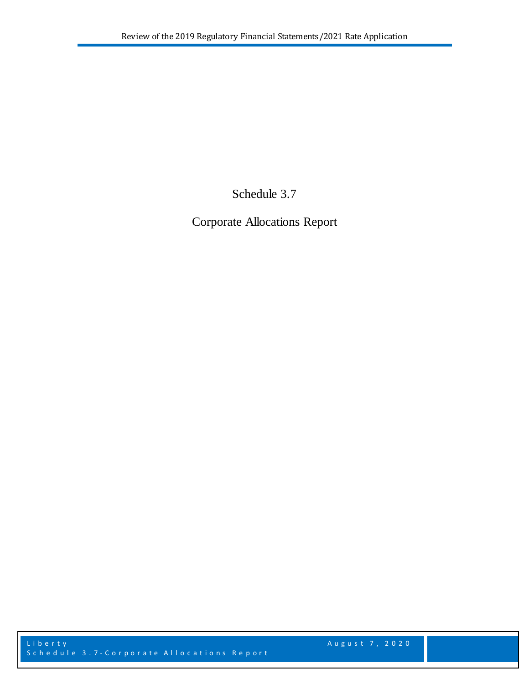Schedule 3.7

Corporate Allocations Report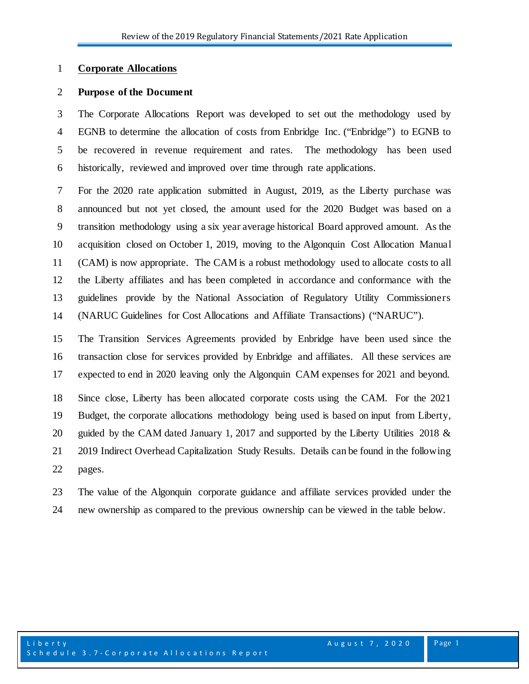### **Corporate Allocations**

### **Purpose of the Document**

 The Corporate Allocations Report was developed to set out the methodology used by EGNB to determine the allocation of costs from Enbridge Inc. ("Enbridge") to EGNB to be recovered in revenue requirement and rates. The methodology has been used historically, reviewed and improved over time through rate applications.

 For the 2020 rate application submitted in August, 2019, as the Liberty purchase was announced but not yet closed, the amount used for the 2020 Budget was based on a transition methodology using a six year average historical Board approved amount. As the acquisition closed on October 1, 2019, moving to the Algonquin Cost Allocation Manual (CAM) is now appropriate. The CAM is a robust methodology used to allocate costs to all the Liberty affiliates and has been completed in accordance and conformance with the guidelines provide by the National Association of Regulatory Utility Commissioners (NARUC Guidelines for Cost Allocations and Affiliate Transactions) ("NARUC")*.*

 The Transition Services Agreements provided by Enbridge have been used since the transaction close for services provided by Enbridge and affiliates. All these services are expected to end in 2020 leaving only the Algonquin CAM expenses for 2021 and beyond.

 Since close, Liberty has been allocated corporate costs using the CAM. For the 2021 Budget, the corporate allocations methodology being used is based on input from Liberty, 20 guided by the CAM dated January 1, 2017 and supported by the Liberty Utilities 2018 & 2019 Indirect Overhead Capitalization Study Results. Details can be found in the following pages.

 The value of the Algonquin corporate guidance and affiliate services provided under the new ownership as compared to the previous ownership can be viewed in the table below.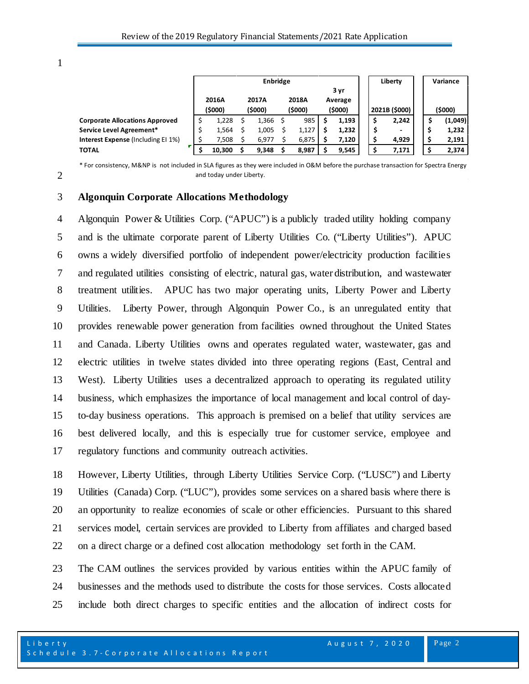1

2

|                                           | <b>Enbridge</b> |        |         |       |         |       |         | Liberty |               | Variance |                          |  |  |         |
|-------------------------------------------|-----------------|--------|---------|-------|---------|-------|---------|---------|---------------|----------|--------------------------|--|--|---------|
|                                           | 3 yr            |        |         |       |         |       |         |         |               |          |                          |  |  |         |
|                                           |                 | 2016A  |         | 2017A |         | 2018A |         | Average |               |          |                          |  |  |         |
|                                           | (\$000)         |        | (\$000) |       | (\$000) |       | (\$000) |         | 2021B (\$000) |          | (\$000)                  |  |  |         |
| <b>Corporate Allocations Approved</b>     |                 | 1,228  |         | 1,366 |         | 985   |         | 1,193   |               | \$,      | 2,242                    |  |  | (1,049) |
| Service Level Agreement*                  |                 | 1,564  |         | 1,005 |         | 1,127 |         | 1,232   |               |          | $\overline{\phantom{0}}$ |  |  | 1,232   |
| <b>Interest Expense (Including EI 1%)</b> |                 | 7,508  |         | 6,977 |         | 6,875 |         | 7,120   |               |          | 4,929                    |  |  | 2,191   |
| <b>TOTAL</b>                              |                 | 10,300 |         | 9,348 |         | 8,987 |         | 9,545   |               | .S       | 7.171                    |  |  | 2,374   |

\* For consistency, M&NP is not included in SLA figures as they were included in O&M before the purchase transaction for Spectra Energy and today under Liberty.

# 3 **Algonquin Corporate Allocations Methodology**

 Algonquin Power & Utilities Corp. ("APUC") is a publicly traded utility holding company and is the ultimate corporate parent of Liberty Utilities Co. ("Liberty Utilities"). APUC owns a widely diversified portfolio of independent power/electricity production facilities and regulated utilities consisting of electric, natural gas, water distribution, and wastewater treatment utilities. APUC has two major operating units, Liberty Power and Liberty Utilities. Liberty Power, through Algonquin Power Co., is an unregulated entity that provides renewable power generation from facilities owned throughout the United States and Canada. Liberty Utilities owns and operates regulated water, wastewater, gas and electric utilities in twelve states divided into three operating regions (East, Central and West). Liberty Utilities uses a decentralized approach to operating its regulated utility business, which emphasizes the importance of local management and local control of day- to-day business operations. This approach is premised on a belief that utility services are best delivered locally, and this is especially true for customer service, employee and regulatory functions and community outreach activities.

 However, Liberty Utilities, through Liberty Utilities Service Corp. ("LUSC") and Liberty Utilities (Canada) Corp. ("LUC"), provides some services on a shared basis where there is an opportunity to realize economies of scale or other efficiencies. Pursuant to this shared services model, certain services are provided to Liberty from affiliates and charged based on a direct charge or a defined cost allocation methodology set forth in the CAM.

23 The CAM outlines the services provided by various entities within the APUC family of 24 businesses and the methods used to distribute the costs for those services. Costs allocated 25 include both direct charges to specific entities and the allocation of indirect costs for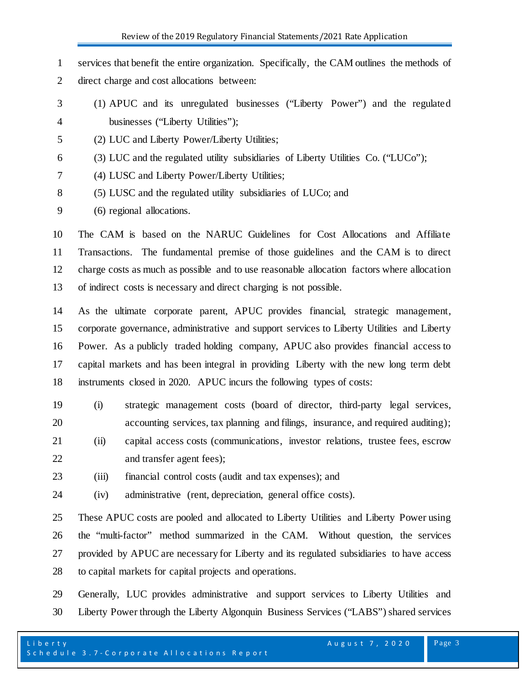services that benefit the entire organization. Specifically, the CAM outlines the methods of direct charge and cost allocations between:

- (1) APUC and its unregulated businesses ("Liberty Power") and the regulated businesses ("Liberty Utilities");
- (2) LUC and Liberty Power/Liberty Utilities;
- (3) LUC and the regulated utility subsidiaries of Liberty Utilities Co. ("LUCo");
- (4) LUSC and Liberty Power/Liberty Utilities;
- (5) LUSC and the regulated utility subsidiaries of LUCo; and

(6) regional allocations.

 The CAM is based on the NARUC Guidelines for Cost Allocations and Affiliate Transactions. The fundamental premise of those guidelines and the CAM is to direct charge costs as much as possible and to use reasonable allocation factors where allocation of indirect costs is necessary and direct charging is not possible.

 As the ultimate corporate parent, APUC provides financial, strategic management, corporate governance, administrative and support services to Liberty Utilities and Liberty Power. As a publicly traded holding company, APUC also provides financial access to capital markets and has been integral in providing Liberty with the new long term debt instruments closed in 2020. APUC incurs the following types of costs:

- (i) strategic management costs (board of director, third-party legal services, accounting services, tax planning and filings, insurance, and required auditing);
- (ii) capital access costs (communications, investor relations, trustee fees, escrow and transfer agent fees);
- (iii) financial control costs (audit and tax expenses); and
- (iv) administrative (rent, depreciation, general office costs).

 These APUC costs are pooled and allocated to Liberty Utilities and Liberty Power using the "multi-factor" method summarized in the CAM. Without question, the services provided by APUC are necessary for Liberty and its regulated subsidiaries to have access to capital markets for capital projects and operations.

 Generally, LUC provides administrative and support services to Liberty Utilities and Liberty Power through the Liberty Algonquin Business Services ("LABS") shared services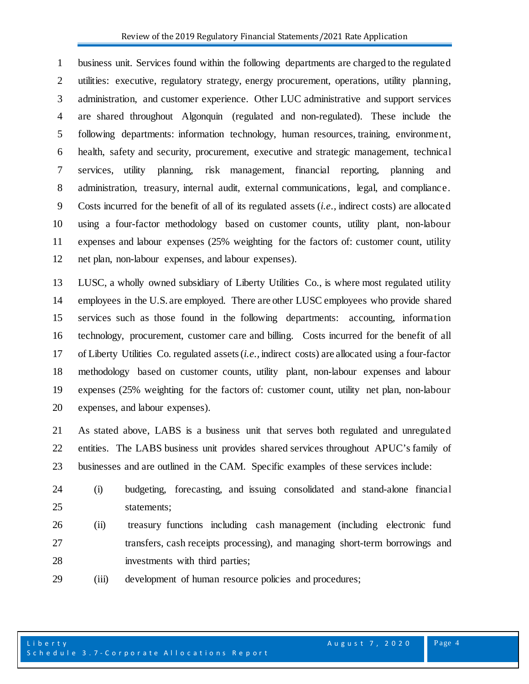business unit. Services found within the following departments are charged to the regulated utilities: executive, regulatory strategy, energy procurement, operations, utility planning, administration, and customer experience. Other LUC administrative and support services are shared throughout Algonquin (regulated and non-regulated). These include the following departments: information technology, human resources, training, environment, health, safety and security, procurement, executive and strategic management, technical services, utility planning, risk management, financial reporting, planning and administration, treasury, internal audit, external communications, legal, and compliance. Costs incurred for the benefit of all of its regulated assets (*i.e.,* indirect costs) are allocated using a four-factor methodology based on customer counts, utility plant, non-labour expenses and labour expenses (25% weighting for the factors of: customer count, utility net plan, non-labour expenses, and labour expenses).

 LUSC, a wholly owned subsidiary of Liberty Utilities Co., is where most regulated utility employees in the U.S. are employed. There are other LUSC employees who provide shared services such as those found in the following departments: accounting, information technology, procurement, customer care and billing. Costs incurred for the benefit of all of Liberty Utilities Co. regulated assets (*i.e.,* indirect costs) are allocated using a four-factor methodology based on customer counts, utility plant, non-labour expenses and labour expenses (25% weighting for the factors of: customer count, utility net plan, non-labour expenses, and labour expenses).

 As stated above, LABS is a business unit that serves both regulated and unregulated entities. The LABS business unit provides shared services throughout APUC's family of businesses and are outlined in the CAM. Specific examples of these services include:

- (i) budgeting, forecasting, and issuing consolidated and stand-alone financial statements;
- (ii) treasury functions including cash management (including electronic fund transfers, cash receipts processing), and managing short-term borrowings and investments with third parties;
- (iii) development of human resource policies and procedures;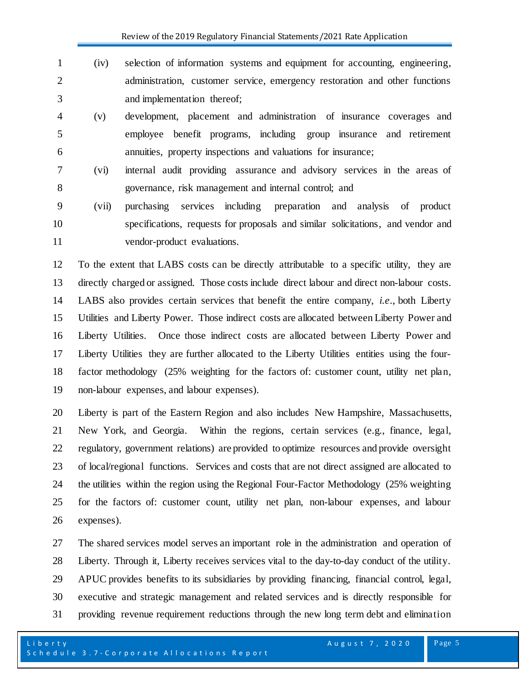Review of the 2019 Regulatory Financial Statements/2021 Rate Application

- (iv) selection of information systems and equipment for accounting, engineering, administration, customer service, emergency restoration and other functions and implementation thereof;
- (v) development, placement and administration of insurance coverages and employee benefit programs, including group insurance and retirement annuities, property inspections and valuations for insurance;
- (vi) internal audit providing assurance and advisory services in the areas of governance, risk management and internal control; and
- (vii) purchasing services including preparation and analysis of product specifications, requests for proposals and similar solicitations, and vendor and 11 vendor-product evaluations.

 To the extent that LABS costs can be directly attributable to a specific utility, they are directly charged or assigned. Those costs include direct labour and direct non-labour costs. LABS also provides certain services that benefit the entire company, *i.e*., both Liberty Utilities and Liberty Power. Those indirect costs are allocated between Liberty Power and Liberty Utilities. Once those indirect costs are allocated between Liberty Power and Liberty Utilities they are further allocated to the Liberty Utilities entities using the four- factor methodology (25% weighting for the factors of: customer count, utility net plan, non-labour expenses, and labour expenses).

 Liberty is part of the Eastern Region and also includes New Hampshire, Massachusetts, New York, and Georgia. Within the regions, certain services (e.g., finance, legal, regulatory, government relations) are provided to optimize resources and provide oversight of local/regional functions. Services and costs that are not direct assigned are allocated to the utilities within the region using the Regional Four-Factor Methodology (25% weighting for the factors of: customer count, utility net plan, non-labour expenses, and labour expenses).

 The shared services model serves an important role in the administration and operation of Liberty. Through it, Liberty receives services vital to the day-to-day conduct of the utility. APUC provides benefits to its subsidiaries by providing financing, financial control, legal, executive and strategic management and related services and is directly responsible for providing revenue requirement reductions through the new long term debt and elimination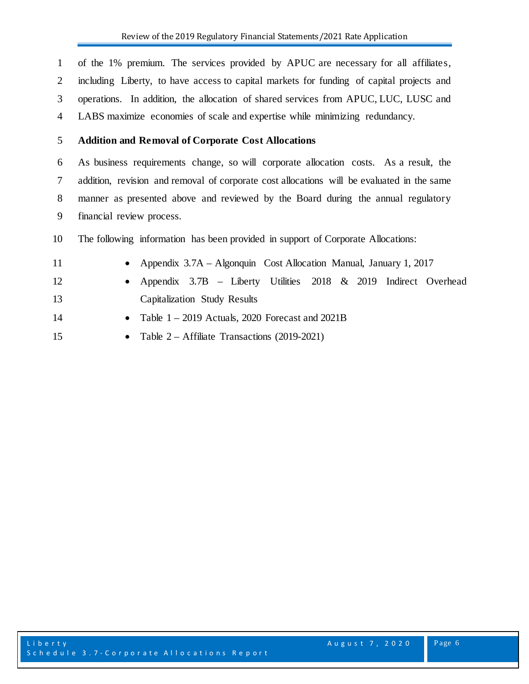of the 1% premium. The services provided by APUC are necessary for all affiliates, including Liberty, to have access to capital markets for funding of capital projects and operations. In addition, the allocation of shared services from APUC, LUC, LUSC and LABS maximize economies of scale and expertise while minimizing redundancy.

## **Addition and Removal of Corporate Cost Allocations**

 As business requirements change, so will corporate allocation costs. As a result, the addition, revision and removal of corporate cost allocations will be evaluated in the same manner as presented above and reviewed by the Board during the annual regulatory financial review process.

The following information has been provided in support of Corporate Allocations:

- Appendix 3.7A Algonquin Cost Allocation Manual, January 1, 2017 • Appendix 3.7B – Liberty Utilities 2018 & 2019 Indirect Overhead Capitalization Study Results
- Table 1 2019 Actuals, 2020 Forecast and 2021B
- Table 2 Affiliate Transactions (2019-2021)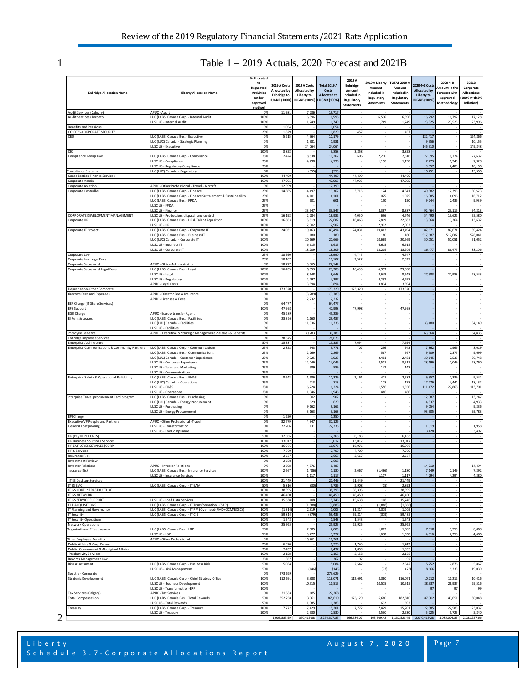# 1 Table 1 – 2019 Actuals, 2020 Forecast and 2021B

| <b>Enbridge Allocation Name</b>                                                  | <b>Liberty Allocation Name</b>                                                                  |              | 2019 A Costs<br>Allocated by<br><b>Enbridge to</b><br><b>UGNB (100%)</b> | 2019 A Costs<br>Allocated by<br>Liberty to<br>LUGNB (100%) | <b>Total 2019 A</b><br>Costs<br><b>Allocated to</b><br><b>LUGNB (100%)</b> | 2019 A<br>Enbridge<br>Amount<br>included in<br>Regulatory<br><b>Statements</b> | 2019 A Liberty<br>Amount<br>included in<br>Regulatory<br><b>Statements</b> | TOTAL 2019<br>Amount<br>included in<br>Regulatory<br><b>Statements</b> | 2020 4+8 Costs<br><b>Allocated by</b><br>Liberty to<br><b>LUGNB (100%)</b> | 2020 4+8<br>Amount in the<br><b>Forecast with</b><br>approved<br>Methodology | 2021B<br>Corporate<br><b>Allocations</b><br>100% with 2%<br>Inflation) |
|----------------------------------------------------------------------------------|-------------------------------------------------------------------------------------------------|--------------|--------------------------------------------------------------------------|------------------------------------------------------------|----------------------------------------------------------------------------|--------------------------------------------------------------------------------|----------------------------------------------------------------------------|------------------------------------------------------------------------|----------------------------------------------------------------------------|------------------------------------------------------------------------------|------------------------------------------------------------------------|
| Audit Services (Calgary)<br>Audit Services (Toronto)                             | APUC - Audit<br>LUC (LABS) Canada Corp. - Internal Audit                                        |              | 11,981                                                                   | 7,736<br>6,596                                             | 19,717<br>6,596                                                            |                                                                                | 6,596                                                                      | 6,596                                                                  | 16,792                                                                     | 16,792                                                                       | 17,128                                                                 |
| <b>Benefits and Pensions</b>                                                     | LUSC US - Internal Audit                                                                        |              | 1,054                                                                    | 1,749                                                      | 1,749<br>1,054                                                             |                                                                                | 1,749                                                                      | 1,749                                                                  | 23,525                                                                     | 23,525                                                                       | 23,996                                                                 |
| CC10076-CORPORATE SECURITY                                                       |                                                                                                 | 0%<br>25%    | 1,829                                                                    |                                                            | 1,829                                                                      | 457                                                                            |                                                                            | 457                                                                    |                                                                            |                                                                              |                                                                        |
| CEO                                                                              | LUC (LABS) Canada Bus. - Executive<br>LUC (LUC) Canada - Strategic Planning                     | 0%<br>0%     | 5,215                                                                    | 4,964<br>1,981                                             | 10,179<br>1,981                                                            |                                                                                |                                                                            |                                                                        | 122,417<br>9.956                                                           |                                                                              | 124,866<br>10.155                                                      |
| CIO                                                                              | <b>USC US - Executive</b>                                                                       | 0%<br>100%   | 3.858                                                                    | 24,064                                                     | 24,064<br>3,858                                                            | 3,858                                                                          |                                                                            | 3.858                                                                  | 146,910                                                                    |                                                                              | 149,848                                                                |
| Compliance Group Law                                                             | LUC (LABS) Canada Corp. - Compliance                                                            | 25%          | 2.424                                                                    | 8,838                                                      | 11.262                                                                     | 606                                                                            | 2,210                                                                      | 2,816                                                                  | 27,095                                                                     | 6,774                                                                        | 27,637                                                                 |
|                                                                                  | LUSC US - Compliance<br>LUSC US - Regulatory Compliance                                         | 25%<br>25%   |                                                                          | 4,790                                                      | 4,790                                                                      |                                                                                | 1,198                                                                      | 1,198                                                                  | 7,773<br>9,957                                                             | 1.943<br>2,489                                                               | 7,928<br>10,156                                                        |
| Compliance Systems<br><b>Consolidation Finance Services</b>                      | LUC (LUC) Canada - Regulatory                                                                   | 0%<br>100%   | 44,499                                                                   | (555)                                                      | (555)<br>44,499                                                            | 44,499                                                                         |                                                                            | 44,499                                                                 | 15,251                                                                     |                                                                              | 15,556                                                                 |
| Corporate Admin                                                                  |                                                                                                 | 100%         | 47,905                                                                   |                                                            | 47,905                                                                     | 47,905                                                                         |                                                                            | 47,905                                                                 |                                                                            |                                                                              |                                                                        |
| <b>Corporate Aviation</b><br>Corporate Controller                                | APUC - Other Professional - Travel - Aircraft<br>LUC (LABS) Canada Corp. - Finance              | 0%<br>25%    | 12,399<br>14,865                                                         | 4,497                                                      | 12,399<br>19,362                                                           | 3,716                                                                          | 1,124                                                                      | 4,841                                                                  | 49,582                                                                     | 12,395                                                                       | 50,573                                                                 |
|                                                                                  | LUC (LABS) Canada Corp. - Finance Sustainment & Sustainability<br>LUC (LABS) Canada Bus. - FP&A | 25%<br>25%   |                                                                          | 4,101<br>601                                               | 4,101<br>601                                                               |                                                                                | 1,025<br>150                                                               | 1,025<br>150                                                           | 16,385<br>9,744                                                            | 4,096<br>2,436                                                               | 16,712<br>9,939                                                        |
|                                                                                  | LUSC US - FP&A                                                                                  | 25%          |                                                                          |                                                            |                                                                            |                                                                                |                                                                            |                                                                        |                                                                            |                                                                              |                                                                        |
| CORPORATE DEVELOPMENT MANAGEMENT                                                 | LUSC US - Finance<br>LUSC US - Production, dispatch and control                                 | 25%<br>25%   | 16,198                                                                   | 33,547<br>2,784                                            | 33,547<br>18,982                                                           | 4,050                                                                          | 8,387<br>696                                                               | 8,387<br>4,746                                                         | 92,464<br>54,490                                                           | 23,116<br>13,622                                                             | 94,313<br>55,580                                                       |
| Corporate HR                                                                     | LUC (LABS) Canada Bus. - HR & Talent Aquisition                                                 | 100%         | 16,863                                                                   | 5,819                                                      | 22,682                                                                     | 16,863                                                                         | 5,819                                                                      | 22,682                                                                 | 13,364                                                                     | 13,364                                                                       | 13,632                                                                 |
| Corporate IT Projects                                                            | LUSC US - HR<br>LUC (LABS) Canada Corp. - Corporate IT                                          | 100%<br>100% | 24,031                                                                   | 2,902<br>19.463                                            | 2,902<br>43,494                                                            | 24,031                                                                         | 2,902<br>19,463                                                            | 2,902<br>43,494                                                        | 87,671                                                                     | 87,671                                                                       | 89,424                                                                 |
|                                                                                  | LUC (LABS) Canada Bus. - Business IT                                                            | 100%         |                                                                          | 180                                                        | 180                                                                        |                                                                                | 180                                                                        | 180                                                                    | 517.687                                                                    | 517.68                                                                       | 528,041                                                                |
|                                                                                  | LUC (LUC) Canada - Corporate IT<br>LUSC US - Business IT                                        | 100%<br>1009 |                                                                          | 20,669<br>6,615                                            | 20,669<br>6,615                                                            |                                                                                | 20,669<br>6,615                                                            | 20,669<br>6,615                                                        | 50,051                                                                     | 50,051                                                                       | 51,052                                                                 |
| Corporate Law                                                                    | LUSC US - Corporate IT                                                                          | 100%<br>25%  | 18,990                                                                   | 18,209                                                     | 18,209<br>18,990                                                           | 4,747                                                                          | 18,209                                                                     | 18,209<br>4,747                                                        | 86,477                                                                     | 86,477                                                                       | 88,206                                                                 |
| Corporate Law Legal Fees                                                         |                                                                                                 | 25%          | 10,107                                                                   |                                                            | 10,107                                                                     | 2,527                                                                          |                                                                            | 2,527                                                                  |                                                                            |                                                                              |                                                                        |
| Corporate Secretarial<br>Corporate Secretarial Legal Fees                        | APUC - Office Administration<br>LUC (LABS) Canada Bus. - Legal                                  | 0%<br>100%   | 18,777<br>16,435                                                         | 3,365<br>6,953                                             | 22,142<br>23,388                                                           | 16,435                                                                         | 6,953                                                                      | 23,388                                                                 |                                                                            |                                                                              |                                                                        |
|                                                                                  | LUSC US - Legal                                                                                 | 100%         |                                                                          | 8,648                                                      | 8,648                                                                      |                                                                                | 8,648                                                                      | 8,648                                                                  | 27.983                                                                     | 27.983                                                                       | 28,543                                                                 |
|                                                                                  | LUSC US - Regulatory<br><b>APUC - Legal Costs</b>                                               | 100%<br>100% |                                                                          | 4,297<br>3,894                                             | 4,297<br>3,894                                                             |                                                                                | 4,297<br>3,894                                                             | 4,297<br>3,894                                                         |                                                                            |                                                                              |                                                                        |
| Depreciation-Other Corporate                                                     | APUC - Director Fee & Insurance                                                                 | 100%         | 173,320                                                                  |                                                            | 173,320                                                                    | 173,320                                                                        |                                                                            | 173,320                                                                |                                                                            |                                                                              |                                                                        |
| Directors Fees and Expenses                                                      | APUC - Licenses & Fees                                                                          | 0%<br>0%     |                                                                          | (3,789)<br>2,232                                           | (3,789)<br>2,232                                                           |                                                                                |                                                                            |                                                                        |                                                                            |                                                                              |                                                                        |
| EEP Charge (IT Share Services)<br><b>EFS Support</b>                             |                                                                                                 | 0%<br>100%   | 64,477<br>47,998                                                         |                                                            | 64,477<br>47,998                                                           | 47,998                                                                         |                                                                            | 47,998                                                                 |                                                                            |                                                                              |                                                                        |
| <b>EGD Charge</b>                                                                | APUC - Escrow transfer Agent                                                                    | 0%           | 45,289                                                                   |                                                            | 45,289                                                                     |                                                                                |                                                                            |                                                                        |                                                                            |                                                                              |                                                                        |
| El Rent & Leases                                                                 | LUC (LABS) Canada Bus. - Facilities<br>LUC (LUC) Canada - Facilities                            | 0%<br>0%     | 28,326                                                                   | 1,160<br>11,336                                            | 29.487<br>11,336                                                           |                                                                                |                                                                            |                                                                        | 33,480                                                                     |                                                                              | 34,149                                                                 |
|                                                                                  | LUSC US - Facilities                                                                            | 0%           |                                                                          |                                                            |                                                                            |                                                                                |                                                                            |                                                                        |                                                                            |                                                                              |                                                                        |
| <b>Employee Benefits</b><br>EnbridgeEmployeeServices                             | APUC - Executive & Strategic Management - Salaries & Benefits                                   | 0%<br>0%     | 78,675                                                                   | 30,783                                                     | 30,783<br>78,675                                                           |                                                                                |                                                                            |                                                                        | 63,564                                                                     |                                                                              | 64,835                                                                 |
| <b>Enterprise Architecture</b><br>Enterprise Communications & Community Partners | LUC (LABS) Canada Corp. - Communications                                                        | 50%<br>25%   | 15.387<br>2,828                                                          | 943                                                        | 15,387<br>3,771                                                            | 7,694<br>707                                                                   | 236                                                                        | 7,694<br>943                                                           | 7,862                                                                      | 1,966                                                                        | 8,019                                                                  |
|                                                                                  | LUC (LABS) Canada Bus. - Communications                                                         | 25%          |                                                                          | 2,269                                                      | 2,269                                                                      |                                                                                | 567                                                                        | 567                                                                    | 9,509                                                                      | 2,377                                                                        | 9,699                                                                  |
|                                                                                  | LUC (LUC) Canada - Customer Experience<br>LUSC US - Customer Experience                         | 25%<br>25%   |                                                                          | 9,925<br>14,046                                            | 9,925<br>14,046                                                            |                                                                                | 2,481<br>3,511                                                             | 2,481<br>3,511                                                         | 30,145<br>28,196                                                           | 7,536<br>7,049                                                               | 30,748<br>28,760                                                       |
|                                                                                  | LUSC US - Sales and Marketing                                                                   | 25%          |                                                                          | 589                                                        | 589                                                                        |                                                                                | 147                                                                        | 147                                                                    |                                                                            |                                                                              |                                                                        |
| Enterprise Safety & Operational Reliability                                      | LUSC US - Communications<br>LUC (LABS) Canada Bus. - EH&S                                       | 25%<br>25%   | 8,643                                                                    | 1,686                                                      | 10,329                                                                     | 2,161                                                                          | 421                                                                        | 2,582                                                                  | 9,357                                                                      | 2,339                                                                        | 9,544                                                                  |
|                                                                                  | LUC (LUC) Canada - Operations<br>LUSC US - EH&S                                                 | 25%<br>25%   |                                                                          | 713                                                        | 713                                                                        |                                                                                | 178                                                                        | 178<br>1.556                                                           | 17,776                                                                     | 4,444                                                                        | 18,132                                                                 |
|                                                                                  | LUSC US - Operations                                                                            | 25%          |                                                                          | 6,224<br>1,946                                             | 6,224<br>1,946                                                             |                                                                                | 1,556<br>486                                                               | 486                                                                    | 111,472                                                                    | 27,868                                                                       | 113,701                                                                |
| Enterprise Travel procurement Card program                                       | LUC (LABS) Canada Bus. - Purchasing<br>LUC (LUC) Canada - Energy Procurement                    | 0%<br>0%     |                                                                          | 902<br>629                                                 | 902<br>629                                                                 |                                                                                |                                                                            |                                                                        | 12,987<br>4,837                                                            |                                                                              | 13,247<br>4,933                                                        |
|                                                                                  | LUSC US - Purchasing                                                                            | 0%           |                                                                          | 9,162                                                      | 9,162                                                                      |                                                                                |                                                                            |                                                                        | 9,054                                                                      |                                                                              | 9,236                                                                  |
| EPI Charge                                                                       | LUSC US - Energy Procurement                                                                    | 0%<br>0%     | 1,250                                                                    | 3,163                                                      | 3,163<br>1,250                                                             |                                                                                |                                                                            |                                                                        | 93,905                                                                     |                                                                              | 95,783                                                                 |
| <b>Executive VP People and Partners</b>                                          | APUC - Other Professional -Travel                                                               | 0%<br>0%     | 32,779<br>72.206                                                         | 4,347<br>131                                               | 37,126                                                                     |                                                                                |                                                                            |                                                                        | 1,919                                                                      |                                                                              | 1,958                                                                  |
| General Cost pooling                                                             | LUSC US - Transformation<br>LUSC US - Env Compliance                                            | 0%           |                                                                          |                                                            | 72,336                                                                     |                                                                                |                                                                            |                                                                        | 3,428                                                                      |                                                                              | 3,497                                                                  |
| HR (BU/DEPT COSTS)<br><b>HR Business Solutions Services</b>                      |                                                                                                 | 50%<br>100%  | 12,366<br>13,017                                                         |                                                            | 12,366<br>13,017                                                           | 6,183<br>13.017                                                                |                                                                            | 6,183<br>13,017                                                        |                                                                            |                                                                              |                                                                        |
| HR EMPLOYEE SERVICES (CORP)                                                      |                                                                                                 | 100%         | 16,976                                                                   |                                                            | 16,976                                                                     | 16,976                                                                         |                                                                            | 16,976                                                                 |                                                                            |                                                                              |                                                                        |
| <b>HRIS Services</b><br>Insurance Risk                                           |                                                                                                 | 100%<br>100% | 7,709<br>2,667                                                           |                                                            | 7,709<br>2,667                                                             | 7,709<br>2,667                                                                 |                                                                            | 7,709<br>2,667                                                         |                                                                            |                                                                              |                                                                        |
| <b>Investment Review</b><br><b>Investor Relations</b>                            | <b>APUC</b> - Investor Relations                                                                | 0%<br>0%     | 2,608<br>3.608                                                           | 4,876                                                      | 2.608<br>8,483                                                             |                                                                                |                                                                            |                                                                        | 14,210                                                                     |                                                                              | 14,494                                                                 |
| Insurance Risk                                                                   | LUC (LABS) Canada Bus. - Insurance Services                                                     | 100%         | 2,667                                                                    | (1, 486)                                                   | 1,180                                                                      | 2,667                                                                          | (1, 486)                                                                   | 1,180                                                                  | 7,149                                                                      | 7,149                                                                        | 7,292                                                                  |
| IT ES Desktop Services                                                           | LUSC US - Insurance Services                                                                    | 100%<br>100% | 21,449                                                                   | 1,117                                                      | 1,117<br>21,449                                                            | 21,449                                                                         | 1,117                                                                      | 1,117<br>21,449                                                        | 4,294                                                                      | 4,294                                                                        | 4,380                                                                  |
| IT ES EMC                                                                        | LUC (LABS) Canada Corp. - IT EAM                                                                | 50%          | 5,816                                                                    | (30)                                                       | 5,786                                                                      | 2,908                                                                          | (15)                                                                       | 2,893                                                                  |                                                                            |                                                                              |                                                                        |
| IT ISS CORE INFRASTRUCTURE<br>IT ISS NETWORK                                     |                                                                                                 | 100%<br>100% | 38,395<br>46,450                                                         |                                                            | 38,395<br>46,450                                                           | 38,395<br>46,450                                                               |                                                                            | 38,395<br>46,450                                                       |                                                                            |                                                                              |                                                                        |
| IT ISS SERVICE SUPPORT<br>IT LP ACQUISITIONS                                     | LUSC US - Load Data Services<br>LUC (LABS) Canada Corp. - IT Transformation - (SAP)             | 100%<br>100% | 15,638                                                                   | 108<br>(1,888)                                             | 15,746                                                                     | 15,638                                                                         | 108<br>(1,888)                                                             | 15,746<br>(1,888)                                                      |                                                                            |                                                                              |                                                                        |
| IT Planning and Governance                                                       | LUC (LABS) Canada Corp. - IT PM (Overhead(PMO/OCM/EXEC))                                        | 100%         | (1, 314)                                                                 | 2,319                                                      | (1,888)<br>1,005                                                           | (1, 314)                                                                       | 2,319                                                                      | 1,005                                                                  |                                                                            |                                                                              |                                                                        |
| IT Security<br><b>IT Security Operations</b>                                     | LUC (LABS) Canada Corp. - IT CIS                                                                | 100%<br>100% | 59,814<br>1,543                                                          | (379)                                                      | 59,435<br>1,543                                                            | 59,814<br>1,543                                                                | (379)                                                                      | 59,435<br>1,543                                                        |                                                                            |                                                                              |                                                                        |
| Network Operations                                                               |                                                                                                 | 100%         | 25,925                                                                   |                                                            | 25,925                                                                     | 25,925                                                                         |                                                                            | 25,925                                                                 |                                                                            |                                                                              |                                                                        |
| Organizational Effectiveness                                                     | LUC (LABS) Canada Bus. - L&D<br>LUSC US - L&D                                                   | 50%<br>50%   |                                                                          | 2,005<br>3,277                                             | 2,005<br>3,277                                                             |                                                                                | 1,003<br>1,638                                                             | 1,003<br>1,638                                                         | 7,910<br>4,516                                                             | 3.955<br>2,258                                                               | 8,068<br>4,606                                                         |
| <b>Other Employee Benefits</b>                                                   | APUC - Other Professional                                                                       | 0%<br>25%    |                                                                          | 16,261                                                     | 16,261                                                                     |                                                                                |                                                                            |                                                                        |                                                                            |                                                                              |                                                                        |
| Public Affairs & Corp Comm<br>Public, Government & Aboriginal Affairs            |                                                                                                 | 25%          | 6,970<br>7,437                                                           |                                                            | 6,970<br>7,437                                                             | 1,743<br>1,859                                                                 |                                                                            | 1,743<br>1,859                                                         |                                                                            |                                                                              |                                                                        |
| <b>Productivity Services</b><br>Records Management Law                           |                                                                                                 | 100%<br>25%  | 2,158<br>367                                                             |                                                            | 2,158<br>367                                                               | 2,158<br>92                                                                    |                                                                            | 2,158<br>92                                                            |                                                                            |                                                                              |                                                                        |
| <b>Risk Assessment</b>                                                           | LUC (LABS) Canada Corp. - Business Risk                                                         | 50%          | 5,084                                                                    |                                                            | 5,084                                                                      | 2,542                                                                          |                                                                            | 2,542                                                                  | 5,752                                                                      | 2,876                                                                        | 5,867                                                                  |
| Spectra - Corporate                                                              | LUSC US - Risk Management                                                                       | 50%<br>0%    | 273,629                                                                  | (146)                                                      | (146)<br>273,629                                                           |                                                                                | (73)                                                                       | (73)                                                                   | 18,666                                                                     | 9,333                                                                        | 19,039                                                                 |
| <b>Strategic Development</b>                                                     | LUC (LABS) Canada Corp. - Chief Strategy Office                                                 | 100%         | 112,691                                                                  | 3,380                                                      | 116,071                                                                    | 112,691                                                                        | 3,380                                                                      | 116,071                                                                | 10,212                                                                     | 10,212                                                                       | 10,416                                                                 |
|                                                                                  | LUSC US - Business Development<br>LUSC US - Transformation-ERP                                  | 100%<br>100% |                                                                          | 10,515                                                     | 10,515                                                                     |                                                                                | 10,515                                                                     | 10,515                                                                 | 28,937<br>97                                                               | 28,937<br>97                                                                 | 29,516<br>99                                                           |
| Tax Services (Calgary)<br><b>Total Compensation</b>                              | APUC - Tax Services<br>LUC (LABS) Canada Bus. - Total Rewards                                   | 0%<br>50%    | 21,583<br>352,258                                                        | 685<br>13,361                                              | 22,268<br>365,619                                                          | 176,129                                                                        | 6,680                                                                      | 182,810                                                                | 87,302                                                                     | 43,651                                                                       | 89,048                                                                 |
|                                                                                  | LUSC US - Total Rewards                                                                         | 50%          |                                                                          | 1,385                                                      | 1,385                                                                      |                                                                                | 692                                                                        | 692                                                                    |                                                                            |                                                                              |                                                                        |
| Treasury                                                                         | LUC (LABS) Canada Corp. - Treasury<br>LUSC US - Treasury                                        | 100%<br>100% | 7,772                                                                    | 7,429<br>2,530                                             | 15,201<br>2,530                                                            | 7,772                                                                          | 7,429<br>2,530                                                             | 15,201<br>2,530                                                        | 22,585<br>5,725                                                            | 22,585<br>5,725                                                              | 23,037<br>5,840                                                        |
|                                                                                  |                                                                                                 |              | 1,903,887.99                                                             | 370,419.88                                                 | 2,274,307.87                                                               | 966,584.07                                                                     |                                                                            | 163,939.42 1,130,523.49                                                | 2,040,419.28                                                               | 1,085,074.85                                                                 | 2,081,227.66                                                           |

2